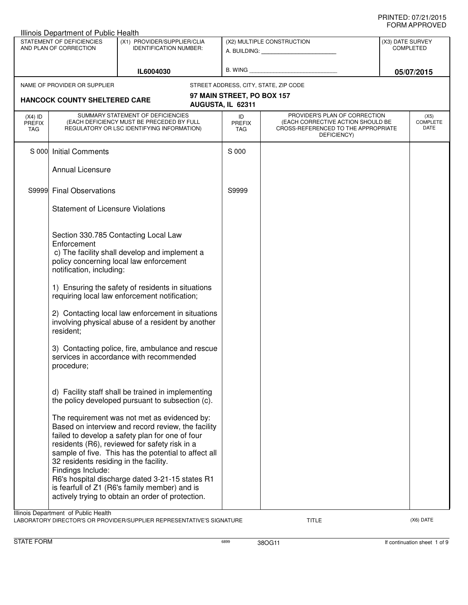|                                                                                                                     | Illinois Department of Public Health                        |                                                                                                                                                                                                                                                                                                                                                                                                                         |                                                              |                                                                                                                          |                                      |                                 |
|---------------------------------------------------------------------------------------------------------------------|-------------------------------------------------------------|-------------------------------------------------------------------------------------------------------------------------------------------------------------------------------------------------------------------------------------------------------------------------------------------------------------------------------------------------------------------------------------------------------------------------|--------------------------------------------------------------|--------------------------------------------------------------------------------------------------------------------------|--------------------------------------|---------------------------------|
| STATEMENT OF DEFICIENCIES<br>(X1) PROVIDER/SUPPLIER/CLIA<br>AND PLAN OF CORRECTION<br><b>IDENTIFICATION NUMBER:</b> |                                                             |                                                                                                                                                                                                                                                                                                                                                                                                                         | (X2) MULTIPLE CONSTRUCTION<br>A. BUILDING: _________________ |                                                                                                                          | (X3) DATE SURVEY<br><b>COMPLETED</b> |                                 |
|                                                                                                                     |                                                             | IL6004030                                                                                                                                                                                                                                                                                                                                                                                                               |                                                              | B. WING <b>Example 2008</b>                                                                                              |                                      | 05/07/2015                      |
|                                                                                                                     | NAME OF PROVIDER OR SUPPLIER                                |                                                                                                                                                                                                                                                                                                                                                                                                                         |                                                              | STREET ADDRESS, CITY, STATE, ZIP CODE                                                                                    |                                      |                                 |
|                                                                                                                     | <b>HANCOCK COUNTY SHELTERED CARE</b>                        |                                                                                                                                                                                                                                                                                                                                                                                                                         | 97 MAIN STREET, PO BOX 157<br>AUGUSTA, IL 62311              |                                                                                                                          |                                      |                                 |
| $(X4)$ ID<br><b>PREFIX</b><br>TAG                                                                                   |                                                             | SUMMARY STATEMENT OF DEFICIENCIES<br>(EACH DEFICIENCY MUST BE PRECEDED BY FULL<br>REGULATORY OR LSC IDENTIFYING INFORMATION)                                                                                                                                                                                                                                                                                            | ID<br><b>PREFIX</b><br><b>TAG</b>                            | PROVIDER'S PLAN OF CORRECTION<br>(EACH CORRECTIVE ACTION SHOULD BE<br>CROSS-REFERENCED TO THE APPROPRIATE<br>DEFICIENCY) |                                      | (X5)<br><b>COMPLETE</b><br>DATE |
| S 000                                                                                                               | <b>Initial Comments</b>                                     |                                                                                                                                                                                                                                                                                                                                                                                                                         | S 000                                                        |                                                                                                                          |                                      |                                 |
|                                                                                                                     | Annual Licensure                                            |                                                                                                                                                                                                                                                                                                                                                                                                                         |                                                              |                                                                                                                          |                                      |                                 |
| S9999                                                                                                               | <b>Final Observations</b>                                   |                                                                                                                                                                                                                                                                                                                                                                                                                         | S9999                                                        |                                                                                                                          |                                      |                                 |
|                                                                                                                     | <b>Statement of Licensure Violations</b>                    |                                                                                                                                                                                                                                                                                                                                                                                                                         |                                                              |                                                                                                                          |                                      |                                 |
|                                                                                                                     | Enforcement<br>notification, including:<br>resident;        | Section 330.785 Contacting Local Law<br>c) The facility shall develop and implement a<br>policy concerning local law enforcement<br>1) Ensuring the safety of residents in situations<br>requiring local law enforcement notification;<br>2) Contacting local law enforcement in situations<br>involving physical abuse of a resident by another                                                                        |                                                              |                                                                                                                          |                                      |                                 |
|                                                                                                                     | procedure;                                                  | 3) Contacting police, fire, ambulance and rescue<br>services in accordance with recommended                                                                                                                                                                                                                                                                                                                             |                                                              |                                                                                                                          |                                      |                                 |
|                                                                                                                     |                                                             | d) Facility staff shall be trained in implementing<br>the policy developed pursuant to subsection (c).                                                                                                                                                                                                                                                                                                                  |                                                              |                                                                                                                          |                                      |                                 |
|                                                                                                                     | 32 residents residing in the facility.<br>Findings Include: | The requirement was not met as evidenced by:<br>Based on interview and record review, the facility<br>failed to develop a safety plan for one of four<br>residents (R6), reviewed for safety risk in a<br>sample of five. This has the potential to affect all<br>R6's hospital discharge dated 3-21-15 states R1<br>is fearfull of Z1 (R6's family member) and is<br>actively trying to obtain an order of protection. |                                                              |                                                                                                                          |                                      |                                 |
|                                                                                                                     | Illinois Department of Public Health                        | A PODATORY DIRECTORIC OR RROUGHED (CLIRIDI JER REBRECENTATIVEIS SIGNATURI                                                                                                                                                                                                                                                                                                                                               |                                                              | <b>TITLE</b>                                                                                                             |                                      | $(YG)$ $\cap$ ATE               |

LABORATORY DIRECTOR'S OR PROVIDER/SUPPLIER REPRESENTATIVE'S SIGNATURE TITLE TITLE THE TITLE (X6) DATE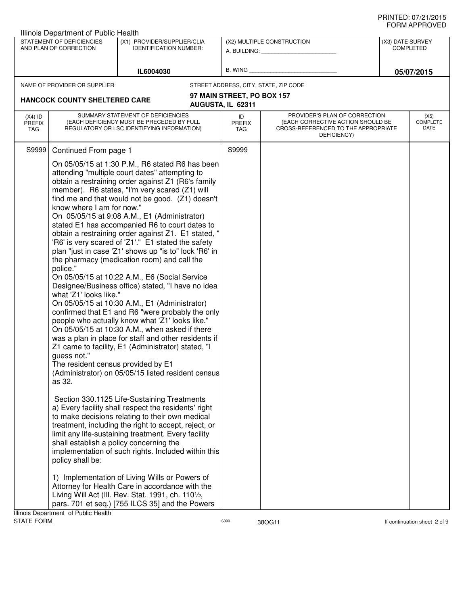|                                                                                                                     |                                   | Illinois Department of Public Health                                                                                                                                                                                   |                                                                                                                                                                                                                                                                                                                                                                                                                                                                                                                                                                                                                                                                                                                                                                                                                                                                                                                                                                                                                                                                                                                                                                                                                                                                                                                                                                                                                                                                                                                                                                     |                                      |                                                                                                                          |  |                                 |
|---------------------------------------------------------------------------------------------------------------------|-----------------------------------|------------------------------------------------------------------------------------------------------------------------------------------------------------------------------------------------------------------------|---------------------------------------------------------------------------------------------------------------------------------------------------------------------------------------------------------------------------------------------------------------------------------------------------------------------------------------------------------------------------------------------------------------------------------------------------------------------------------------------------------------------------------------------------------------------------------------------------------------------------------------------------------------------------------------------------------------------------------------------------------------------------------------------------------------------------------------------------------------------------------------------------------------------------------------------------------------------------------------------------------------------------------------------------------------------------------------------------------------------------------------------------------------------------------------------------------------------------------------------------------------------------------------------------------------------------------------------------------------------------------------------------------------------------------------------------------------------------------------------------------------------------------------------------------------------|--------------------------------------|--------------------------------------------------------------------------------------------------------------------------|--|---------------------------------|
| STATEMENT OF DEFICIENCIES<br>(X1) PROVIDER/SUPPLIER/CLIA<br>AND PLAN OF CORRECTION<br><b>IDENTIFICATION NUMBER:</b> |                                   |                                                                                                                                                                                                                        | (X2) MULTIPLE CONSTRUCTION                                                                                                                                                                                                                                                                                                                                                                                                                                                                                                                                                                                                                                                                                                                                                                                                                                                                                                                                                                                                                                                                                                                                                                                                                                                                                                                                                                                                                                                                                                                                          | (X3) DATE SURVEY<br><b>COMPLETED</b> |                                                                                                                          |  |                                 |
|                                                                                                                     |                                   |                                                                                                                                                                                                                        | IL6004030                                                                                                                                                                                                                                                                                                                                                                                                                                                                                                                                                                                                                                                                                                                                                                                                                                                                                                                                                                                                                                                                                                                                                                                                                                                                                                                                                                                                                                                                                                                                                           | B. WING                              |                                                                                                                          |  | 05/07/2015                      |
|                                                                                                                     |                                   | NAME OF PROVIDER OR SUPPLIER                                                                                                                                                                                           |                                                                                                                                                                                                                                                                                                                                                                                                                                                                                                                                                                                                                                                                                                                                                                                                                                                                                                                                                                                                                                                                                                                                                                                                                                                                                                                                                                                                                                                                                                                                                                     |                                      | STREET ADDRESS, CITY, STATE, ZIP CODE                                                                                    |  |                                 |
|                                                                                                                     |                                   |                                                                                                                                                                                                                        |                                                                                                                                                                                                                                                                                                                                                                                                                                                                                                                                                                                                                                                                                                                                                                                                                                                                                                                                                                                                                                                                                                                                                                                                                                                                                                                                                                                                                                                                                                                                                                     | 97 MAIN STREET, PO BOX 157           |                                                                                                                          |  |                                 |
|                                                                                                                     |                                   | <b>HANCOCK COUNTY SHELTERED CARE</b>                                                                                                                                                                                   |                                                                                                                                                                                                                                                                                                                                                                                                                                                                                                                                                                                                                                                                                                                                                                                                                                                                                                                                                                                                                                                                                                                                                                                                                                                                                                                                                                                                                                                                                                                                                                     | AUGUSTA, IL 62311                    |                                                                                                                          |  |                                 |
|                                                                                                                     | $(X4)$ ID<br><b>PREFIX</b><br>TAG |                                                                                                                                                                                                                        | SUMMARY STATEMENT OF DEFICIENCIES<br>(EACH DEFICIENCY MUST BE PRECEDED BY FULL<br>REGULATORY OR LSC IDENTIFYING INFORMATION)                                                                                                                                                                                                                                                                                                                                                                                                                                                                                                                                                                                                                                                                                                                                                                                                                                                                                                                                                                                                                                                                                                                                                                                                                                                                                                                                                                                                                                        | ID<br><b>PREFIX</b><br>TAG           | PROVIDER'S PLAN OF CORRECTION<br>(EACH CORRECTIVE ACTION SHOULD BE<br>CROSS-REFERENCED TO THE APPROPRIATE<br>DEFICIENCY) |  | (X5)<br><b>COMPLETE</b><br>DATE |
|                                                                                                                     | S9999                             | Continued From page 1<br>know where I am for now."<br>police."<br>what 'Z1' looks like."<br>guess not."<br>The resident census provided by E1<br>as 32.<br>shall establish a policy concerning the<br>policy shall be: | On 05/05/15 at 1:30 P.M., R6 stated R6 has been<br>attending "multiple court dates" attempting to<br>obtain a restraining order against Z1 (R6's family<br>member). R6 states, "I'm very scared (Z1) will<br>find me and that would not be good. (Z1) doesn't<br>On 05/05/15 at 9:08 A.M., E1 (Administrator)<br>stated E1 has accompanied R6 to court dates to<br>obtain a restraining order against Z1. E1 stated, "<br>'R6' is very scared of 'Z1'." E1 stated the safety<br>plan "just in case 'Z1' shows up "is to" lock 'R6' in<br>the pharmacy (medication room) and call the<br>On 05/05/15 at 10:22 A.M., E6 (Social Service<br>Designee/Business office) stated, "I have no idea<br>On 05/05/15 at 10:30 A.M., E1 (Administrator)<br>confirmed that E1 and R6 "were probably the only<br>people who actually know what 'Z1' looks like."<br>On 05/05/15 at 10:30 A.M., when asked if there<br>was a plan in place for staff and other residents if<br>Z1 came to facility, E1 (Administrator) stated, "I<br>(Administrator) on 05/05/15 listed resident census<br>Section 330.1125 Life-Sustaining Treatments<br>a) Every facility shall respect the residents' right<br>to make decisions relating to their own medical<br>treatment, including the right to accept, reject, or<br>limit any life-sustaining treatment. Every facility<br>implementation of such rights. Included within this<br>1) Implementation of Living Wills or Powers of<br>Attorney for Health Care in accordance with the<br>Living Will Act (III. Rev. Stat. 1991, ch. 1101/2, | S9999                                |                                                                                                                          |  |                                 |
|                                                                                                                     |                                   |                                                                                                                                                                                                                        | pars. 701 et seq.) [755 ILCS 35] and the Powers                                                                                                                                                                                                                                                                                                                                                                                                                                                                                                                                                                                                                                                                                                                                                                                                                                                                                                                                                                                                                                                                                                                                                                                                                                                                                                                                                                                                                                                                                                                     |                                      |                                                                                                                          |  |                                 |
|                                                                                                                     | <b>STATE FORM</b>                 | Illinois Department of Public Health                                                                                                                                                                                   |                                                                                                                                                                                                                                                                                                                                                                                                                                                                                                                                                                                                                                                                                                                                                                                                                                                                                                                                                                                                                                                                                                                                                                                                                                                                                                                                                                                                                                                                                                                                                                     | 6899                                 |                                                                                                                          |  |                                 |
|                                                                                                                     |                                   |                                                                                                                                                                                                                        |                                                                                                                                                                                                                                                                                                                                                                                                                                                                                                                                                                                                                                                                                                                                                                                                                                                                                                                                                                                                                                                                                                                                                                                                                                                                                                                                                                                                                                                                                                                                                                     |                                      | 38OG11                                                                                                                   |  | If continuation sheet 2 of 9    |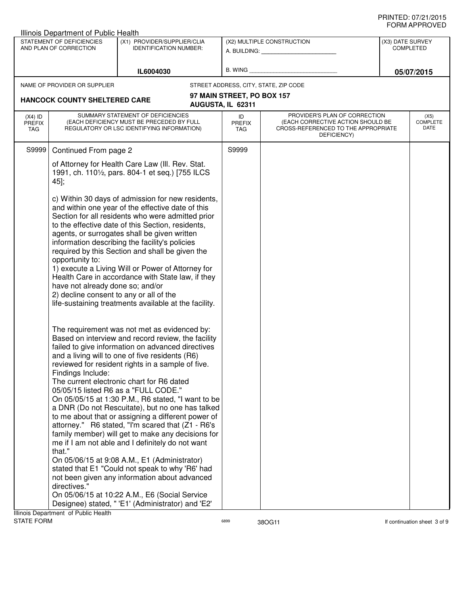|                                                                                                                     | Illinois Department of Public Health                                                                                          |                                                                                                                                                                                                                                                                                                                                                                                                                                                                                                                                                                                                                                                                                                                                                                                                                                                                                                                                                                                                                                                                                                                                                                                                                                                                                |                            |                                                                                                                          |  |                                 |
|---------------------------------------------------------------------------------------------------------------------|-------------------------------------------------------------------------------------------------------------------------------|--------------------------------------------------------------------------------------------------------------------------------------------------------------------------------------------------------------------------------------------------------------------------------------------------------------------------------------------------------------------------------------------------------------------------------------------------------------------------------------------------------------------------------------------------------------------------------------------------------------------------------------------------------------------------------------------------------------------------------------------------------------------------------------------------------------------------------------------------------------------------------------------------------------------------------------------------------------------------------------------------------------------------------------------------------------------------------------------------------------------------------------------------------------------------------------------------------------------------------------------------------------------------------|----------------------------|--------------------------------------------------------------------------------------------------------------------------|--|---------------------------------|
| STATEMENT OF DEFICIENCIES<br>(X1) PROVIDER/SUPPLIER/CLIA<br>AND PLAN OF CORRECTION<br><b>IDENTIFICATION NUMBER:</b> |                                                                                                                               | (X2) MULTIPLE CONSTRUCTION<br>A. BUILDING: A.                                                                                                                                                                                                                                                                                                                                                                                                                                                                                                                                                                                                                                                                                                                                                                                                                                                                                                                                                                                                                                                                                                                                                                                                                                  |                            | (X3) DATE SURVEY<br><b>COMPLETED</b>                                                                                     |  |                                 |
| IL6004030                                                                                                           |                                                                                                                               | B. WING                                                                                                                                                                                                                                                                                                                                                                                                                                                                                                                                                                                                                                                                                                                                                                                                                                                                                                                                                                                                                                                                                                                                                                                                                                                                        |                            | 05/07/2015                                                                                                               |  |                                 |
|                                                                                                                     | NAME OF PROVIDER OR SUPPLIER                                                                                                  |                                                                                                                                                                                                                                                                                                                                                                                                                                                                                                                                                                                                                                                                                                                                                                                                                                                                                                                                                                                                                                                                                                                                                                                                                                                                                |                            | STREET ADDRESS, CITY, STATE, ZIP CODE                                                                                    |  |                                 |
|                                                                                                                     |                                                                                                                               |                                                                                                                                                                                                                                                                                                                                                                                                                                                                                                                                                                                                                                                                                                                                                                                                                                                                                                                                                                                                                                                                                                                                                                                                                                                                                | 97 MAIN STREET, PO BOX 157 |                                                                                                                          |  |                                 |
|                                                                                                                     | <b>HANCOCK COUNTY SHELTERED CARE</b>                                                                                          |                                                                                                                                                                                                                                                                                                                                                                                                                                                                                                                                                                                                                                                                                                                                                                                                                                                                                                                                                                                                                                                                                                                                                                                                                                                                                | AUGUSTA, IL 62311          |                                                                                                                          |  |                                 |
| $(X4)$ ID<br><b>PREFIX</b><br>TAG                                                                                   |                                                                                                                               | SUMMARY STATEMENT OF DEFICIENCIES<br>(EACH DEFICIENCY MUST BE PRECEDED BY FULL<br>REGULATORY OR LSC IDENTIFYING INFORMATION)                                                                                                                                                                                                                                                                                                                                                                                                                                                                                                                                                                                                                                                                                                                                                                                                                                                                                                                                                                                                                                                                                                                                                   | ID<br><b>PREFIX</b><br>TAG | PROVIDER'S PLAN OF CORRECTION<br>(EACH CORRECTIVE ACTION SHOULD BE<br>CROSS-REFERENCED TO THE APPROPRIATE<br>DEFICIENCY) |  | (X5)<br><b>COMPLETE</b><br>DATE |
| S9999                                                                                                               | Continued From page 2                                                                                                         |                                                                                                                                                                                                                                                                                                                                                                                                                                                                                                                                                                                                                                                                                                                                                                                                                                                                                                                                                                                                                                                                                                                                                                                                                                                                                | S9999                      |                                                                                                                          |  |                                 |
|                                                                                                                     | 45];                                                                                                                          | of Attorney for Health Care Law (III. Rev. Stat.<br>1991, ch. 1101/2, pars. 804-1 et seq.) [755 ILCS                                                                                                                                                                                                                                                                                                                                                                                                                                                                                                                                                                                                                                                                                                                                                                                                                                                                                                                                                                                                                                                                                                                                                                           |                            |                                                                                                                          |  |                                 |
|                                                                                                                     | opportunity to:<br>have not already done so; and/or<br>2) decline consent to any or all of the<br>Findings Include:<br>that." | c) Within 30 days of admission for new residents,<br>and within one year of the effective date of this<br>Section for all residents who were admitted prior<br>to the effective date of this Section, residents,<br>agents, or surrogates shall be given written<br>information describing the facility's policies<br>required by this Section and shall be given the<br>1) execute a Living Will or Power of Attorney for<br>Health Care in accordance with State law, if they<br>life-sustaining treatments available at the facility.<br>The requirement was not met as evidenced by:<br>Based on interview and record review, the facility<br>failed to give information on advanced directives<br>and a living will to one of five residents (R6)<br>reviewed for resident rights in a sample of five.<br>The current electronic chart for R6 dated<br>05/05/15 listed R6 as a "FULL CODE."<br>On 05/05/15 at 1:30 P.M., R6 stated, "I want to be<br>a DNR (Do not Rescuitate), but no one has talked<br>to me about that or assigning a different power of<br>attorney." R6 stated, "I'm scared that (Z1 - R6's<br>family member) will get to make any decisions for<br>me if I am not able and I definitely do not want<br>On 05/06/15 at 9:08 A.M., E1 (Administrator) |                            |                                                                                                                          |  |                                 |
|                                                                                                                     | directives."                                                                                                                  | stated that E1 "Could not speak to why 'R6' had<br>not been given any information about advanced                                                                                                                                                                                                                                                                                                                                                                                                                                                                                                                                                                                                                                                                                                                                                                                                                                                                                                                                                                                                                                                                                                                                                                               |                            |                                                                                                                          |  |                                 |
|                                                                                                                     |                                                                                                                               | On 05/06/15 at 10:22 A.M., E6 (Social Service                                                                                                                                                                                                                                                                                                                                                                                                                                                                                                                                                                                                                                                                                                                                                                                                                                                                                                                                                                                                                                                                                                                                                                                                                                  |                            |                                                                                                                          |  |                                 |
|                                                                                                                     |                                                                                                                               | Designee) stated, " 'E1' (Administrator) and 'E2'                                                                                                                                                                                                                                                                                                                                                                                                                                                                                                                                                                                                                                                                                                                                                                                                                                                                                                                                                                                                                                                                                                                                                                                                                              |                            |                                                                                                                          |  |                                 |
|                                                                                                                     | Illinois Department of Public Health                                                                                          |                                                                                                                                                                                                                                                                                                                                                                                                                                                                                                                                                                                                                                                                                                                                                                                                                                                                                                                                                                                                                                                                                                                                                                                                                                                                                |                            |                                                                                                                          |  |                                 |
| <b>STATE FORM</b>                                                                                                   |                                                                                                                               |                                                                                                                                                                                                                                                                                                                                                                                                                                                                                                                                                                                                                                                                                                                                                                                                                                                                                                                                                                                                                                                                                                                                                                                                                                                                                | 6899                       | 38OG11                                                                                                                   |  | If continuation sheet 3 of 9    |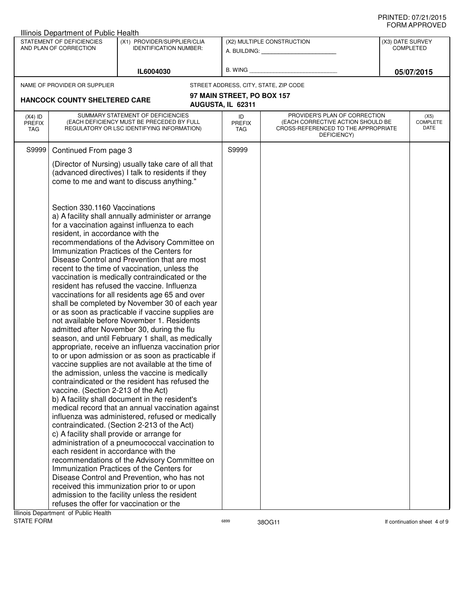| STATEMENT OF DEFICIENCIES<br>(X1) PROVIDER/SUPPLIER/CLIA<br>(X2) MULTIPLE CONSTRUCTION<br>(X3) DATE SURVEY<br>AND PLAN OF CORRECTION<br><b>COMPLETED</b><br><b>IDENTIFICATION NUMBER:</b><br>A. BUILDING: A. BUILDING:<br>B. WING<br>IL6004030<br>05/07/2015<br>NAME OF PROVIDER OR SUPPLIER<br>STREET ADDRESS, CITY, STATE, ZIP CODE<br>97 MAIN STREET, PO BOX 157<br><b>HANCOCK COUNTY SHELTERED CARE</b><br>AUGUSTA, IL 62311<br>SUMMARY STATEMENT OF DEFICIENCIES<br>PROVIDER'S PLAN OF CORRECTION<br>$(X4)$ ID<br>ID<br>(X5)<br><b>COMPLETE</b><br>(EACH DEFICIENCY MUST BE PRECEDED BY FULL<br>(EACH CORRECTIVE ACTION SHOULD BE<br><b>PREFIX</b><br><b>PREFIX</b><br>DATE<br>REGULATORY OR LSC IDENTIFYING INFORMATION)<br>CROSS-REFERENCED TO THE APPROPRIATE<br>TAG<br>TAG<br>DEFICIENCY)<br>S9999<br>S9999<br>Continued From page 3<br>(Director of Nursing) usually take care of all that<br>(advanced directives) I talk to residents if they<br>come to me and want to discuss anything."<br>Section 330.1160 Vaccinations<br>a) A facility shall annually administer or arrange<br>for a vaccination against influenza to each<br>resident, in accordance with the<br>recommendations of the Advisory Committee on<br>Immunization Practices of the Centers for<br>Disease Control and Prevention that are most<br>recent to the time of vaccination, unless the<br>vaccination is medically contraindicated or the<br>resident has refused the vaccine. Influenza<br>vaccinations for all residents age 65 and over<br>shall be completed by November 30 of each year<br>or as soon as practicable if vaccine supplies are<br>not available before November 1. Residents<br>admitted after November 30, during the flu<br>season, and until February 1 shall, as medically<br>appropriate, receive an influenza vaccination prior<br>to or upon admission or as soon as practicable if<br>vaccine supplies are not available at the time of<br>the admission, unless the vaccine is medically<br>contraindicated or the resident has refused the<br>vaccine. (Section 2-213 of the Act)<br>b) A facility shall document in the resident's<br>medical record that an annual vaccination against<br>influenza was administered, refused or medically<br>contraindicated. (Section 2-213 of the Act)<br>c) A facility shall provide or arrange for |  | Illinois Department of Public Health            |  |  |  |  |
|----------------------------------------------------------------------------------------------------------------------------------------------------------------------------------------------------------------------------------------------------------------------------------------------------------------------------------------------------------------------------------------------------------------------------------------------------------------------------------------------------------------------------------------------------------------------------------------------------------------------------------------------------------------------------------------------------------------------------------------------------------------------------------------------------------------------------------------------------------------------------------------------------------------------------------------------------------------------------------------------------------------------------------------------------------------------------------------------------------------------------------------------------------------------------------------------------------------------------------------------------------------------------------------------------------------------------------------------------------------------------------------------------------------------------------------------------------------------------------------------------------------------------------------------------------------------------------------------------------------------------------------------------------------------------------------------------------------------------------------------------------------------------------------------------------------------------------------------------------------------------------------------------------------------------------------------------------------------------------------------------------------------------------------------------------------------------------------------------------------------------------------------------------------------------------------------------------------------------------------------------------------------------------------------------------------------------------------------------------------|--|-------------------------------------------------|--|--|--|--|
|                                                                                                                                                                                                                                                                                                                                                                                                                                                                                                                                                                                                                                                                                                                                                                                                                                                                                                                                                                                                                                                                                                                                                                                                                                                                                                                                                                                                                                                                                                                                                                                                                                                                                                                                                                                                                                                                                                                                                                                                                                                                                                                                                                                                                                                                                                                                                                |  |                                                 |  |  |  |  |
|                                                                                                                                                                                                                                                                                                                                                                                                                                                                                                                                                                                                                                                                                                                                                                                                                                                                                                                                                                                                                                                                                                                                                                                                                                                                                                                                                                                                                                                                                                                                                                                                                                                                                                                                                                                                                                                                                                                                                                                                                                                                                                                                                                                                                                                                                                                                                                |  |                                                 |  |  |  |  |
|                                                                                                                                                                                                                                                                                                                                                                                                                                                                                                                                                                                                                                                                                                                                                                                                                                                                                                                                                                                                                                                                                                                                                                                                                                                                                                                                                                                                                                                                                                                                                                                                                                                                                                                                                                                                                                                                                                                                                                                                                                                                                                                                                                                                                                                                                                                                                                |  |                                                 |  |  |  |  |
|                                                                                                                                                                                                                                                                                                                                                                                                                                                                                                                                                                                                                                                                                                                                                                                                                                                                                                                                                                                                                                                                                                                                                                                                                                                                                                                                                                                                                                                                                                                                                                                                                                                                                                                                                                                                                                                                                                                                                                                                                                                                                                                                                                                                                                                                                                                                                                |  |                                                 |  |  |  |  |
|                                                                                                                                                                                                                                                                                                                                                                                                                                                                                                                                                                                                                                                                                                                                                                                                                                                                                                                                                                                                                                                                                                                                                                                                                                                                                                                                                                                                                                                                                                                                                                                                                                                                                                                                                                                                                                                                                                                                                                                                                                                                                                                                                                                                                                                                                                                                                                |  |                                                 |  |  |  |  |
|                                                                                                                                                                                                                                                                                                                                                                                                                                                                                                                                                                                                                                                                                                                                                                                                                                                                                                                                                                                                                                                                                                                                                                                                                                                                                                                                                                                                                                                                                                                                                                                                                                                                                                                                                                                                                                                                                                                                                                                                                                                                                                                                                                                                                                                                                                                                                                |  |                                                 |  |  |  |  |
|                                                                                                                                                                                                                                                                                                                                                                                                                                                                                                                                                                                                                                                                                                                                                                                                                                                                                                                                                                                                                                                                                                                                                                                                                                                                                                                                                                                                                                                                                                                                                                                                                                                                                                                                                                                                                                                                                                                                                                                                                                                                                                                                                                                                                                                                                                                                                                |  |                                                 |  |  |  |  |
|                                                                                                                                                                                                                                                                                                                                                                                                                                                                                                                                                                                                                                                                                                                                                                                                                                                                                                                                                                                                                                                                                                                                                                                                                                                                                                                                                                                                                                                                                                                                                                                                                                                                                                                                                                                                                                                                                                                                                                                                                                                                                                                                                                                                                                                                                                                                                                |  |                                                 |  |  |  |  |
| each resident in accordance with the<br>recommendations of the Advisory Committee on<br>Immunization Practices of the Centers for<br>Disease Control and Prevention, who has not<br>received this immunization prior to or upon<br>admission to the facility unless the resident                                                                                                                                                                                                                                                                                                                                                                                                                                                                                                                                                                                                                                                                                                                                                                                                                                                                                                                                                                                                                                                                                                                                                                                                                                                                                                                                                                                                                                                                                                                                                                                                                                                                                                                                                                                                                                                                                                                                                                                                                                                                               |  | administration of a pneumococcal vaccination to |  |  |  |  |
| refuses the offer for vaccination or the<br>Illinois Denartment, of Public Health                                                                                                                                                                                                                                                                                                                                                                                                                                                                                                                                                                                                                                                                                                                                                                                                                                                                                                                                                                                                                                                                                                                                                                                                                                                                                                                                                                                                                                                                                                                                                                                                                                                                                                                                                                                                                                                                                                                                                                                                                                                                                                                                                                                                                                                                              |  |                                                 |  |  |  |  |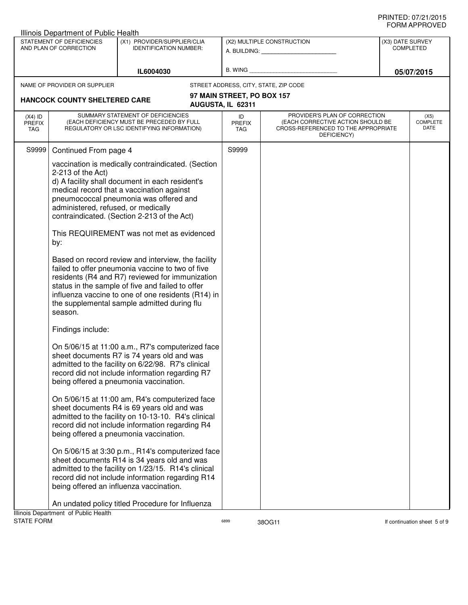|                                                                                                                     | Illinois Department of Public Health                     |                                                                                                                                                                                                                                                                                                                    |                                                         |                                                                                                                          |                                      |                                 |
|---------------------------------------------------------------------------------------------------------------------|----------------------------------------------------------|--------------------------------------------------------------------------------------------------------------------------------------------------------------------------------------------------------------------------------------------------------------------------------------------------------------------|---------------------------------------------------------|--------------------------------------------------------------------------------------------------------------------------|--------------------------------------|---------------------------------|
| STATEMENT OF DEFICIENCIES<br>(X1) PROVIDER/SUPPLIER/CLIA<br>AND PLAN OF CORRECTION<br><b>IDENTIFICATION NUMBER:</b> |                                                          |                                                                                                                                                                                                                                                                                                                    | (X2) MULTIPLE CONSTRUCTION<br>A. BUILDING: A. BUILDING: |                                                                                                                          | (X3) DATE SURVEY<br><b>COMPLETED</b> |                                 |
| IL6004030                                                                                                           |                                                          |                                                                                                                                                                                                                                                                                                                    | B. WING                                                 |                                                                                                                          | 05/07/2015                           |                                 |
|                                                                                                                     | NAME OF PROVIDER OR SUPPLIER                             |                                                                                                                                                                                                                                                                                                                    |                                                         | STREET ADDRESS, CITY, STATE, ZIP CODE                                                                                    |                                      |                                 |
|                                                                                                                     |                                                          |                                                                                                                                                                                                                                                                                                                    | 97 MAIN STREET, PO BOX 157                              |                                                                                                                          |                                      |                                 |
|                                                                                                                     | <b>HANCOCK COUNTY SHELTERED CARE</b>                     |                                                                                                                                                                                                                                                                                                                    | AUGUSTA, IL 62311                                       |                                                                                                                          |                                      |                                 |
| $(X4)$ ID<br><b>PREFIX</b><br>TAG                                                                                   |                                                          | SUMMARY STATEMENT OF DEFICIENCIES<br>(EACH DEFICIENCY MUST BE PRECEDED BY FULL<br>REGULATORY OR LSC IDENTIFYING INFORMATION)                                                                                                                                                                                       | ID<br><b>PREFIX</b><br>TAG                              | PROVIDER'S PLAN OF CORRECTION<br>(EACH CORRECTIVE ACTION SHOULD BE<br>CROSS-REFERENCED TO THE APPROPRIATE<br>DEFICIENCY) |                                      | (X5)<br><b>COMPLETE</b><br>DATE |
| S9999                                                                                                               | Continued From page 4                                    |                                                                                                                                                                                                                                                                                                                    | S9999                                                   |                                                                                                                          |                                      |                                 |
|                                                                                                                     | 2-213 of the Act)<br>administered, refused, or medically | vaccination is medically contraindicated. (Section<br>d) A facility shall document in each resident's<br>medical record that a vaccination against<br>pneumococcal pneumonia was offered and<br>contraindicated. (Section 2-213 of the Act)                                                                        |                                                         |                                                                                                                          |                                      |                                 |
|                                                                                                                     | by:                                                      | This REQUIREMENT was not met as evidenced                                                                                                                                                                                                                                                                          |                                                         |                                                                                                                          |                                      |                                 |
|                                                                                                                     | season.                                                  | Based on record review and interview, the facility<br>failed to offer pneumonia vaccine to two of five<br>residents (R4 and R7) reviewed for immunization<br>status in the sample of five and failed to offer<br>influenza vaccine to one of one residents (R14) in<br>the supplemental sample admitted during flu |                                                         |                                                                                                                          |                                      |                                 |
|                                                                                                                     | Findings include:                                        |                                                                                                                                                                                                                                                                                                                    |                                                         |                                                                                                                          |                                      |                                 |
|                                                                                                                     |                                                          | On 5/06/15 at 11:00 a.m., R7's computerized face<br>sheet documents R7 is 74 years old and was<br>admitted to the facility on 6/22/98. R7's clinical<br>record did not include information regarding R7<br>being offered a pneumonia vaccination.                                                                  |                                                         |                                                                                                                          |                                      |                                 |
|                                                                                                                     |                                                          | On 5/06/15 at 11:00 am, R4's computerized face<br>sheet documents R4 is 69 years old and was<br>admitted to the facility on 10-13-10. R4's clinical<br>record did not include information regarding R4<br>being offered a pneumonia vaccination.                                                                   |                                                         |                                                                                                                          |                                      |                                 |
|                                                                                                                     |                                                          | On 5/06/15 at 3:30 p.m., R14's computerized face<br>sheet documents R14 is 34 years old and was<br>admitted to the facility on 1/23/15. R14's clinical<br>record did not include information regarding R14<br>being offered an influenza vaccination.                                                              |                                                         |                                                                                                                          |                                      |                                 |
|                                                                                                                     | Illinois Department of Public Health                     | An undated policy titled Procedure for Influenza                                                                                                                                                                                                                                                                   |                                                         |                                                                                                                          |                                      |                                 |
| <b>STATE FORM</b>                                                                                                   |                                                          |                                                                                                                                                                                                                                                                                                                    | 6899                                                    | 38OG11                                                                                                                   |                                      | If continuation sheet 5 of 9    |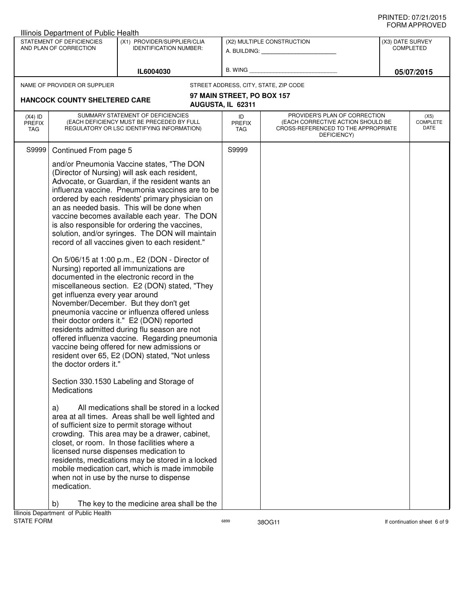|                                                                                                                     | Illinois Department of Public Health                                                                                          |                                                                                                                                                                                                                                                                                                                                                                                                                                                                                                                                                                                                                                                                                                                                                                                                                                                                                                                                                                                                                                                                                                                                                                                                                                                                                                                                                                                                                                                                                                                                                 |                            |                                                                                                                          |  |                                 |
|---------------------------------------------------------------------------------------------------------------------|-------------------------------------------------------------------------------------------------------------------------------|-------------------------------------------------------------------------------------------------------------------------------------------------------------------------------------------------------------------------------------------------------------------------------------------------------------------------------------------------------------------------------------------------------------------------------------------------------------------------------------------------------------------------------------------------------------------------------------------------------------------------------------------------------------------------------------------------------------------------------------------------------------------------------------------------------------------------------------------------------------------------------------------------------------------------------------------------------------------------------------------------------------------------------------------------------------------------------------------------------------------------------------------------------------------------------------------------------------------------------------------------------------------------------------------------------------------------------------------------------------------------------------------------------------------------------------------------------------------------------------------------------------------------------------------------|----------------------------|--------------------------------------------------------------------------------------------------------------------------|--|---------------------------------|
| STATEMENT OF DEFICIENCIES<br>(X1) PROVIDER/SUPPLIER/CLIA<br>AND PLAN OF CORRECTION<br><b>IDENTIFICATION NUMBER:</b> |                                                                                                                               |                                                                                                                                                                                                                                                                                                                                                                                                                                                                                                                                                                                                                                                                                                                                                                                                                                                                                                                                                                                                                                                                                                                                                                                                                                                                                                                                                                                                                                                                                                                                                 | (X2) MULTIPLE CONSTRUCTION | (X3) DATE SURVEY<br><b>COMPLETED</b>                                                                                     |  |                                 |
|                                                                                                                     |                                                                                                                               | IL6004030                                                                                                                                                                                                                                                                                                                                                                                                                                                                                                                                                                                                                                                                                                                                                                                                                                                                                                                                                                                                                                                                                                                                                                                                                                                                                                                                                                                                                                                                                                                                       | <b>B. WING</b>             |                                                                                                                          |  | 05/07/2015                      |
|                                                                                                                     | NAME OF PROVIDER OR SUPPLIER                                                                                                  |                                                                                                                                                                                                                                                                                                                                                                                                                                                                                                                                                                                                                                                                                                                                                                                                                                                                                                                                                                                                                                                                                                                                                                                                                                                                                                                                                                                                                                                                                                                                                 |                            | STREET ADDRESS, CITY, STATE, ZIP CODE                                                                                    |  |                                 |
|                                                                                                                     |                                                                                                                               |                                                                                                                                                                                                                                                                                                                                                                                                                                                                                                                                                                                                                                                                                                                                                                                                                                                                                                                                                                                                                                                                                                                                                                                                                                                                                                                                                                                                                                                                                                                                                 | 97 MAIN STREET, PO BOX 157 |                                                                                                                          |  |                                 |
|                                                                                                                     | <b>HANCOCK COUNTY SHELTERED CARE</b>                                                                                          |                                                                                                                                                                                                                                                                                                                                                                                                                                                                                                                                                                                                                                                                                                                                                                                                                                                                                                                                                                                                                                                                                                                                                                                                                                                                                                                                                                                                                                                                                                                                                 | AUGUSTA, IL 62311          |                                                                                                                          |  |                                 |
| $(X4)$ ID<br><b>PREFIX</b><br><b>TAG</b>                                                                            |                                                                                                                               | SUMMARY STATEMENT OF DEFICIENCIES<br>(EACH DEFICIENCY MUST BE PRECEDED BY FULL<br>REGULATORY OR LSC IDENTIFYING INFORMATION)                                                                                                                                                                                                                                                                                                                                                                                                                                                                                                                                                                                                                                                                                                                                                                                                                                                                                                                                                                                                                                                                                                                                                                                                                                                                                                                                                                                                                    | ID<br>PREFIX<br>TAG        | PROVIDER'S PLAN OF CORRECTION<br>(EACH CORRECTIVE ACTION SHOULD BE<br>CROSS-REFERENCED TO THE APPROPRIATE<br>DEFICIENCY) |  | (X5)<br><b>COMPLETE</b><br>DATE |
| S9999                                                                                                               | Continued From page 5<br>get influenza every year around<br>the doctor orders it."<br><b>Medications</b><br>a)<br>medication. | and/or Pneumonia Vaccine states, "The DON<br>(Director of Nursing) will ask each resident,<br>Advocate, or Guardian, if the resident wants an<br>influenza vaccine. Pneumonia vaccines are to be<br>ordered by each residents' primary physician on<br>an as needed basis. This will be done when<br>vaccine becomes available each year. The DON<br>is also responsible for ordering the vaccines,<br>solution, and/or syringes. The DON will maintain<br>record of all vaccines given to each resident."<br>On 5/06/15 at 1:00 p.m., E2 (DON - Director of<br>Nursing) reported all immunizations are<br>documented in the electronic record in the<br>miscellaneous section. E2 (DON) stated, "They<br>November/December. But they don't get<br>pneumonia vaccine or influenza offered unless<br>their doctor orders it." E2 (DON) reported<br>residents admitted during flu season are not<br>offered influenza vaccine. Regarding pneumonia<br>vaccine being offered for new admissions or<br>resident over 65, E2 (DON) stated, "Not unless<br>Section 330.1530 Labeling and Storage of<br>All medications shall be stored in a locked<br>area at all times. Areas shall be well lighted and<br>of sufficient size to permit storage without<br>crowding. This area may be a drawer, cabinet,<br>closet, or room. In those facilities where a<br>licensed nurse dispenses medication to<br>residents, medications may be stored in a locked<br>mobile medication cart, which is made immobile<br>when not in use by the nurse to dispense | S9999                      |                                                                                                                          |  |                                 |
|                                                                                                                     | b)                                                                                                                            | The key to the medicine area shall be the                                                                                                                                                                                                                                                                                                                                                                                                                                                                                                                                                                                                                                                                                                                                                                                                                                                                                                                                                                                                                                                                                                                                                                                                                                                                                                                                                                                                                                                                                                       |                            |                                                                                                                          |  |                                 |
| STATE FORM                                                                                                          | Illinois Department of Public Health                                                                                          |                                                                                                                                                                                                                                                                                                                                                                                                                                                                                                                                                                                                                                                                                                                                                                                                                                                                                                                                                                                                                                                                                                                                                                                                                                                                                                                                                                                                                                                                                                                                                 | 6899                       | 38OG11                                                                                                                   |  | If continuation sheet 6 of 9    |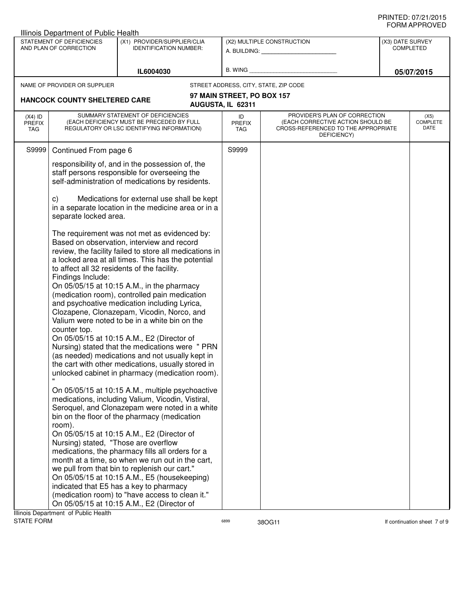|                                                                                                                                  | Illinois Department of Public Health                                             |                                                                                                                                                                                                                                                                                                                                                                                                                                                                                                                                                                                                                                                                                                                        |                                                         |                                                                                                                          |  |                                 |
|----------------------------------------------------------------------------------------------------------------------------------|----------------------------------------------------------------------------------|------------------------------------------------------------------------------------------------------------------------------------------------------------------------------------------------------------------------------------------------------------------------------------------------------------------------------------------------------------------------------------------------------------------------------------------------------------------------------------------------------------------------------------------------------------------------------------------------------------------------------------------------------------------------------------------------------------------------|---------------------------------------------------------|--------------------------------------------------------------------------------------------------------------------------|--|---------------------------------|
| STATEMENT OF DEFICIENCIES<br>(X1) PROVIDER/SUPPLIER/CLIA<br>AND PLAN OF CORRECTION<br><b>IDENTIFICATION NUMBER:</b><br>IL6004030 |                                                                                  |                                                                                                                                                                                                                                                                                                                                                                                                                                                                                                                                                                                                                                                                                                                        | (X2) MULTIPLE CONSTRUCTION<br>A. BUILDING: A. BUILDING: | (X3) DATE SURVEY<br><b>COMPLETED</b><br>05/07/2015                                                                       |  |                                 |
|                                                                                                                                  |                                                                                  | B. WING                                                                                                                                                                                                                                                                                                                                                                                                                                                                                                                                                                                                                                                                                                                |                                                         |                                                                                                                          |  |                                 |
|                                                                                                                                  | NAME OF PROVIDER OR SUPPLIER                                                     |                                                                                                                                                                                                                                                                                                                                                                                                                                                                                                                                                                                                                                                                                                                        |                                                         | STREET ADDRESS, CITY, STATE, ZIP CODE                                                                                    |  |                                 |
|                                                                                                                                  | <b>HANCOCK COUNTY SHELTERED CARE</b>                                             |                                                                                                                                                                                                                                                                                                                                                                                                                                                                                                                                                                                                                                                                                                                        | 97 MAIN STREET, PO BOX 157<br>AUGUSTA, IL 62311         |                                                                                                                          |  |                                 |
| $(X4)$ ID<br><b>PREFIX</b><br>TAG                                                                                                |                                                                                  | SUMMARY STATEMENT OF DEFICIENCIES<br>(EACH DEFICIENCY MUST BE PRECEDED BY FULL<br>REGULATORY OR LSC IDENTIFYING INFORMATION)                                                                                                                                                                                                                                                                                                                                                                                                                                                                                                                                                                                           | ID<br><b>PREFIX</b><br>TAG                              | PROVIDER'S PLAN OF CORRECTION<br>(EACH CORRECTIVE ACTION SHOULD BE<br>CROSS-REFERENCED TO THE APPROPRIATE<br>DEFICIENCY) |  | (X5)<br><b>COMPLETE</b><br>DATE |
| S9999                                                                                                                            | Continued From page 6                                                            |                                                                                                                                                                                                                                                                                                                                                                                                                                                                                                                                                                                                                                                                                                                        | S9999                                                   |                                                                                                                          |  |                                 |
|                                                                                                                                  |                                                                                  | responsibility of, and in the possession of, the<br>staff persons responsible for overseeing the<br>self-administration of medications by residents.                                                                                                                                                                                                                                                                                                                                                                                                                                                                                                                                                                   |                                                         |                                                                                                                          |  |                                 |
|                                                                                                                                  | C)<br>separate locked area.                                                      | Medications for external use shall be kept<br>in a separate location in the medicine area or in a                                                                                                                                                                                                                                                                                                                                                                                                                                                                                                                                                                                                                      |                                                         |                                                                                                                          |  |                                 |
|                                                                                                                                  | to affect all 32 residents of the facility.<br>Findings Include:<br>counter top. | The requirement was not met as evidenced by:<br>Based on observation, interview and record<br>review, the facility failed to store all medications in<br>a locked area at all times. This has the potential<br>On 05/05/15 at 10:15 A.M., in the pharmacy<br>(medication room), controlled pain medication<br>and psychoative medication including Lyrica,<br>Clozapene, Clonazepam, Vicodin, Norco, and<br>Valium were noted to be in a white bin on the<br>On 05/05/15 at 10:15 A.M., E2 (Director of<br>Nursing) stated that the medications were " PRN<br>(as needed) medications and not usually kept in<br>the cart with other medications, usually stored in<br>unlocked cabinet in pharmacy (medication room). |                                                         |                                                                                                                          |  |                                 |
|                                                                                                                                  | room).<br>Nursing) stated, "Those are overflow                                   | On 05/05/15 at 10:15 A.M., multiple psychoactive<br>medications, including Valium, Vicodin, Vistiral,<br>Seroquel, and Clonazepam were noted in a white<br>bin on the floor of the pharmacy (medication<br>On 05/05/15 at 10:15 A.M., E2 (Director of<br>medications, the pharmacy fills all orders for a<br>month at a time, so when we run out in the cart,<br>we pull from that bin to replenish our cart."<br>On 05/05/15 at 10:15 A.M., E5 (housekeeping)<br>indicated that E5 has a key to pharmacy<br>(medication room) to "have access to clean it."<br>On 05/05/15 at 10:15 A.M., E2 (Director of                                                                                                             |                                                         |                                                                                                                          |  |                                 |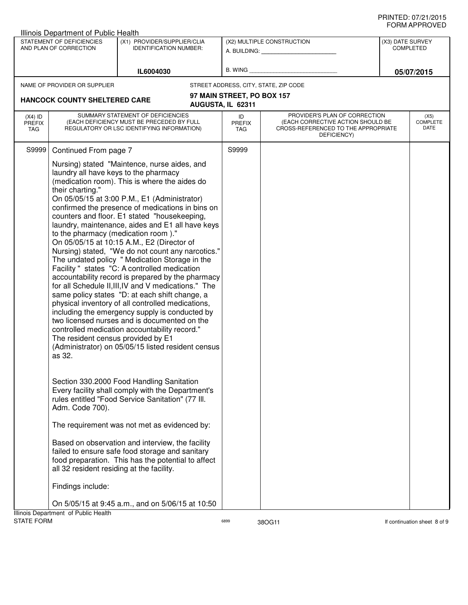|                                                                                                                                  | Illinois Department of Public Health                                                                                                                                |                                                                                                                                                                                                                                                                                                                                                                                                                                                                                                                                                                                                                                                                                                                                                                                                                                                                                                                                                                                                                                                                                                 |                                   |                                                                                                                          |                                      |  |
|----------------------------------------------------------------------------------------------------------------------------------|---------------------------------------------------------------------------------------------------------------------------------------------------------------------|-------------------------------------------------------------------------------------------------------------------------------------------------------------------------------------------------------------------------------------------------------------------------------------------------------------------------------------------------------------------------------------------------------------------------------------------------------------------------------------------------------------------------------------------------------------------------------------------------------------------------------------------------------------------------------------------------------------------------------------------------------------------------------------------------------------------------------------------------------------------------------------------------------------------------------------------------------------------------------------------------------------------------------------------------------------------------------------------------|-----------------------------------|--------------------------------------------------------------------------------------------------------------------------|--------------------------------------|--|
| STATEMENT OF DEFICIENCIES<br>(X1) PROVIDER/SUPPLIER/CLIA<br>AND PLAN OF CORRECTION<br><b>IDENTIFICATION NUMBER:</b><br>IL6004030 |                                                                                                                                                                     |                                                                                                                                                                                                                                                                                                                                                                                                                                                                                                                                                                                                                                                                                                                                                                                                                                                                                                                                                                                                                                                                                                 |                                   | (X2) MULTIPLE CONSTRUCTION<br>A. BUILDING: <b>A. BUILDING:</b>                                                           | (X3) DATE SURVEY<br><b>COMPLETED</b> |  |
|                                                                                                                                  |                                                                                                                                                                     |                                                                                                                                                                                                                                                                                                                                                                                                                                                                                                                                                                                                                                                                                                                                                                                                                                                                                                                                                                                                                                                                                                 | B. WING                           |                                                                                                                          | 05/07/2015                           |  |
|                                                                                                                                  | NAME OF PROVIDER OR SUPPLIER                                                                                                                                        |                                                                                                                                                                                                                                                                                                                                                                                                                                                                                                                                                                                                                                                                                                                                                                                                                                                                                                                                                                                                                                                                                                 |                                   | STREET ADDRESS, CITY, STATE, ZIP CODE                                                                                    |                                      |  |
|                                                                                                                                  |                                                                                                                                                                     |                                                                                                                                                                                                                                                                                                                                                                                                                                                                                                                                                                                                                                                                                                                                                                                                                                                                                                                                                                                                                                                                                                 | 97 MAIN STREET, PO BOX 157        |                                                                                                                          |                                      |  |
|                                                                                                                                  | <b>HANCOCK COUNTY SHELTERED CARE</b>                                                                                                                                |                                                                                                                                                                                                                                                                                                                                                                                                                                                                                                                                                                                                                                                                                                                                                                                                                                                                                                                                                                                                                                                                                                 | AUGUSTA, IL 62311                 |                                                                                                                          |                                      |  |
| $(X4)$ ID<br><b>PREFIX</b><br>TAG                                                                                                |                                                                                                                                                                     | SUMMARY STATEMENT OF DEFICIENCIES<br>(EACH DEFICIENCY MUST BE PRECEDED BY FULL<br>REGULATORY OR LSC IDENTIFYING INFORMATION)                                                                                                                                                                                                                                                                                                                                                                                                                                                                                                                                                                                                                                                                                                                                                                                                                                                                                                                                                                    | ID<br><b>PREFIX</b><br><b>TAG</b> | PROVIDER'S PLAN OF CORRECTION<br>(EACH CORRECTIVE ACTION SHOULD BE<br>CROSS-REFERENCED TO THE APPROPRIATE<br>DEFICIENCY) | (X5)<br>COMPLETE<br>DATE             |  |
| S9999                                                                                                                            | Continued From page 7                                                                                                                                               |                                                                                                                                                                                                                                                                                                                                                                                                                                                                                                                                                                                                                                                                                                                                                                                                                                                                                                                                                                                                                                                                                                 | S9999                             |                                                                                                                          |                                      |  |
|                                                                                                                                  | laundry all have keys to the pharmacy<br>their charting."<br>to the pharmacy (medication room)."<br>The resident census provided by E1<br>as 32.<br>Adm. Code 700). | Nursing) stated "Maintence, nurse aides, and<br>(medication room). This is where the aides do<br>On 05/05/15 at 3:00 P.M., E1 (Administrator)<br>confirmed the presence of medications in bins on<br>counters and floor. E1 stated "housekeeping,<br>laundry, maintenance, aides and E1 all have keys<br>On 05/05/15 at 10:15 A.M., E2 (Director of<br>Nursing) stated, "We do not count any narcotics."<br>The undated policy " Medication Storage in the<br>Facility " states "C: A controlled medication<br>accountability record is prepared by the pharmacy<br>for all Schedule II, III, IV and V medications." The<br>same policy states "D: at each shift change, a<br>physical inventory of all controlled medications,<br>including the emergency supply is conducted by<br>two licensed nurses and is documented on the<br>controlled medication accountability record."<br>(Administrator) on 05/05/15 listed resident census<br>Section 330.2000 Food Handling Sanitation<br>Every facility shall comply with the Department's<br>rules entitled "Food Service Sanitation" (77 III. |                                   |                                                                                                                          |                                      |  |
|                                                                                                                                  |                                                                                                                                                                     | The requirement was not met as evidenced by:                                                                                                                                                                                                                                                                                                                                                                                                                                                                                                                                                                                                                                                                                                                                                                                                                                                                                                                                                                                                                                                    |                                   |                                                                                                                          |                                      |  |
|                                                                                                                                  | all 32 resident residing at the facility.                                                                                                                           | Based on observation and interview, the facility<br>failed to ensure safe food storage and sanitary<br>food preparation. This has the potential to affect                                                                                                                                                                                                                                                                                                                                                                                                                                                                                                                                                                                                                                                                                                                                                                                                                                                                                                                                       |                                   |                                                                                                                          |                                      |  |
|                                                                                                                                  | Findings include:                                                                                                                                                   |                                                                                                                                                                                                                                                                                                                                                                                                                                                                                                                                                                                                                                                                                                                                                                                                                                                                                                                                                                                                                                                                                                 |                                   |                                                                                                                          |                                      |  |
|                                                                                                                                  |                                                                                                                                                                     | On 5/05/15 at 9:45 a.m., and on 5/06/15 at 10:50                                                                                                                                                                                                                                                                                                                                                                                                                                                                                                                                                                                                                                                                                                                                                                                                                                                                                                                                                                                                                                                |                                   |                                                                                                                          |                                      |  |
| <b>STATE FORM</b>                                                                                                                | Illinois Department of Public Health                                                                                                                                |                                                                                                                                                                                                                                                                                                                                                                                                                                                                                                                                                                                                                                                                                                                                                                                                                                                                                                                                                                                                                                                                                                 | 6899                              | 38OG11                                                                                                                   | If continuation sheet 8 of 9         |  |